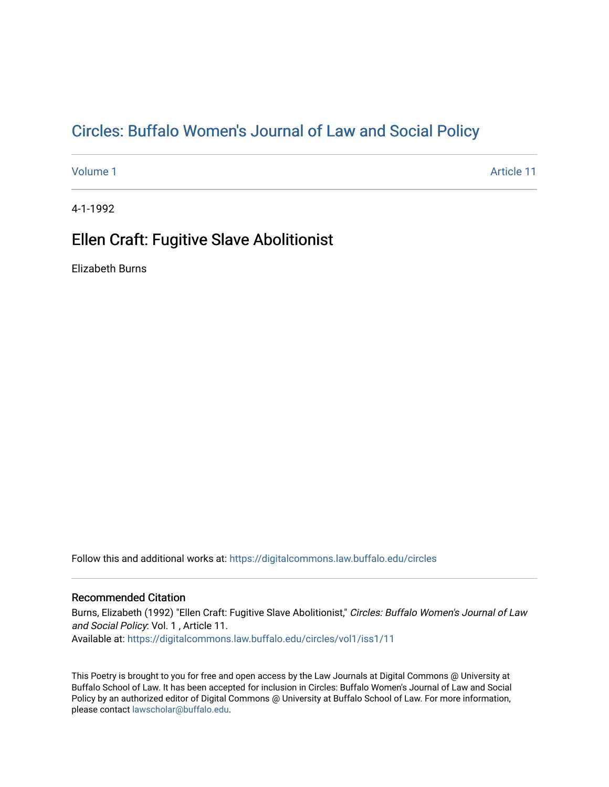## Cir[cles: Buffalo Women's Journal of Law and Social P](https://digitalcommons.law.buffalo.edu/circles)olicy

[Volume 1](https://digitalcommons.law.buffalo.edu/circles/vol1) Article 11

4-1-1992

## Ellen Craft: Fugitive Slave Abolitionist

Elizabeth Burns

Follow this and additional works at: [https://digitalcommons.law.buffalo.edu/circles](https://digitalcommons.law.buffalo.edu/circles?utm_source=digitalcommons.law.buffalo.edu%2Fcircles%2Fvol1%2Fiss1%2F11&utm_medium=PDF&utm_campaign=PDFCoverPages)

## Recommended Citation

Burns, Elizabeth (1992) "Ellen Craft: Fugitive Slave Abolitionist," Circles: Buffalo Women's Journal of Law and Social Policy: Vol. 1 , Article 11. Available at: [https://digitalcommons.law.buffalo.edu/circles/vol1/iss1/11](https://digitalcommons.law.buffalo.edu/circles/vol1/iss1/11?utm_source=digitalcommons.law.buffalo.edu%2Fcircles%2Fvol1%2Fiss1%2F11&utm_medium=PDF&utm_campaign=PDFCoverPages)

This Poetry is brought to you for free and open access by the Law Journals at Digital Commons @ University at Buffalo School of Law. It has been accepted for inclusion in Circles: Buffalo Women's Journal of Law and Social Policy by an authorized editor of Digital Commons @ University at Buffalo School of Law. For more information, please contact [lawscholar@buffalo.edu](mailto:lawscholar@buffalo.edu).